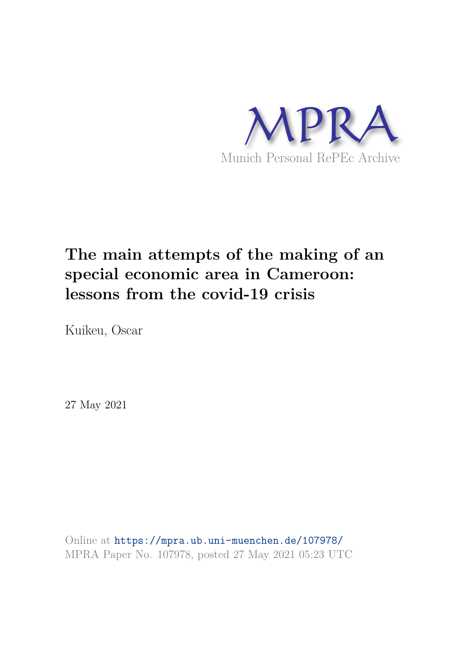

# **The main attempts of the making of an special economic area in Cameroon: lessons from the covid-19 crisis**

Kuikeu, Oscar

27 May 2021

Online at https://mpra.ub.uni-muenchen.de/107978/ MPRA Paper No. 107978, posted 27 May 2021 05:23 UTC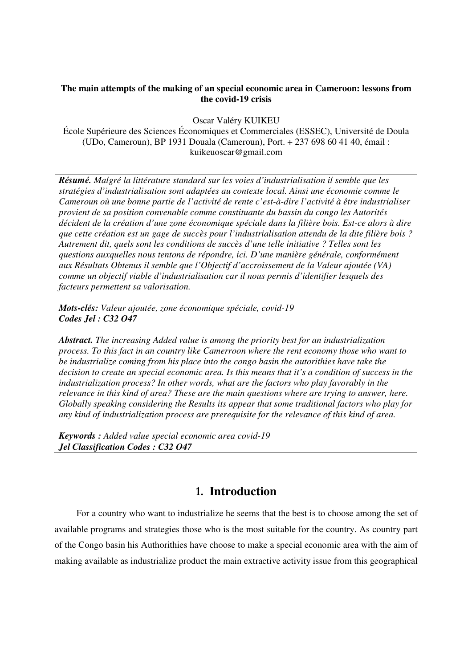#### **The main attempts of the making of an special economic area in Cameroon: lessons from the covid-19 crisis**

Oscar Valéry KUIKEU

École Supérieure des Sciences Économiques et Commerciales (ESSEC), Université de Doula (UDo, Cameroun), BP 1931 Douala (Cameroun), Port. + 237 698 60 41 40, émail : kuikeuoscar@gmail.com

*Résumé. Malgré la littérature standard sur les voies d'industrialisation il semble que les stratégies d'industrialisation sont adaptées au contexte local. Ainsi une économie comme le Cameroun où une bonne partie de l'activité de rente c'est-à-dire l'activité à être industrialiser provient de sa position convenable comme constituante du bassin du congo les Autorités décident de la création d'une zone économique spéciale dans la filière bois. Est-ce alors à dire que cette création est un gage de succès pour l'industrialisation attendu de la dite filière bois ? Autrement dit, quels sont les conditions de succès d'une telle initiative ? Telles sont les questions auxquelles nous tentons de répondre, ici. D'une manière générale, conformément aux Résultats Obtenus il semble que l'Objectif d'accroissement de la Valeur ajoutée (VA) comme un objectif viable d'industrialisation car il nous permis d'identifier lesquels des facteurs permettent sa valorisation.* 

*Mots-clés: Valeur ajoutée, zone économique spéciale, covid-19 Codes Jel : C32 O47* 

*Abstract. The increasing Added value is among the priority best for an industrialization process. To this fact in an country like Camerroon where the rent economy those who want to be industrialize coming from his place into the congo basin the autorithies have take the decision to create an special economic area. Is this means that it's a condition of success in the industrialization process? In other words, what are the factors who play favorably in the relevance in this kind of area? These are the main questions where are trying to answer, here. Globally speaking considering the Results its appear that some traditional factors who play for any kind of industrialization process are prerequisite for the relevance of this kind of area.* 

*Keywords : Added value special economic area covid-19 Jel Classification Codes : C32 O47* 

## **1. Introduction**

For a country who want to industrialize he seems that the best is to choose among the set of available programs and strategies those who is the most suitable for the country. As country part of the Congo basin his Authorithies have choose to make a special economic area with the aim of making available as industrialize product the main extractive activity issue from this geographical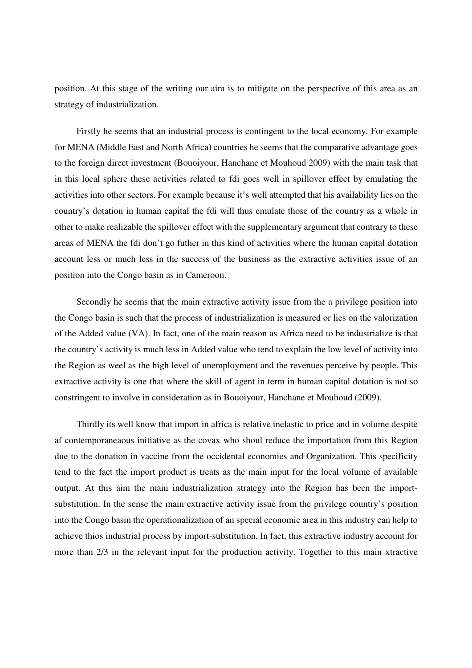position. At this stage of the writing our aim is to mitigate on the perspective of this area as an strategy of industrialization.

Firstly he seems that an industrial process is contingent to the local economy. For example for MENA (Middle East and North Africa) countries he seems that the comparative advantage goes to the foreign direct investment (Bouoiyour, Hanchane et Mouhoud 2009) with the main task that in this local sphere these activities related to fdi goes well in spillover effect by emulating the activities into other sectors. For example because it's well attempted that his availability lies on the country's dotation in human capital the fdi will thus emulate those of the country as a whole in other to make realizable the spillover effect with the supplementary argument that contrary to these areas of MENA the fdi don't go futher in this kind of activities where the human capital dotation account less or much less in the success of the business as the extractive activities issue of an position into the Congo basin as in Cameroon.

Secondly he seems that the main extractive activity issue from the a privilege position into the Congo basin is such that the process of industrialization is measured or lies on the valorization of the Added value (VA). In fact, one of the main reason as Africa need to be industrialize is that the country's activity is much less in Added value who tend to explain the low level of activity into the Region as weel as the high level of unemployment and the revenues perceive by people. This extractive activity is one that where the skill of agent in term in human capital dotation is not so constringent to involve in consideration as in Bouoiyour, Hanchane et Mouhoud (2009).

Thirdly its well know that import in africa is relative inelastic to price and in volume despite af contemporaneaous initiative as the covax who shoul reduce the importation from this Region due to the donation in vaccine from the occidental economies and Organization. This specificity tend to the fact the import product is treats as the main input for the local volume of available output. At this aim the main industrialization strategy into the Region has been the importsubstitution. In the sense the main extractive activity issue from the privilege country's position into the Congo basin the operationalization of an special economic area in this industry can help to achieve thios industrial process by import-substitution. In fact, this extractive industry account for more than 2/3 in the relevant input for the production activity. Together to this main xtractive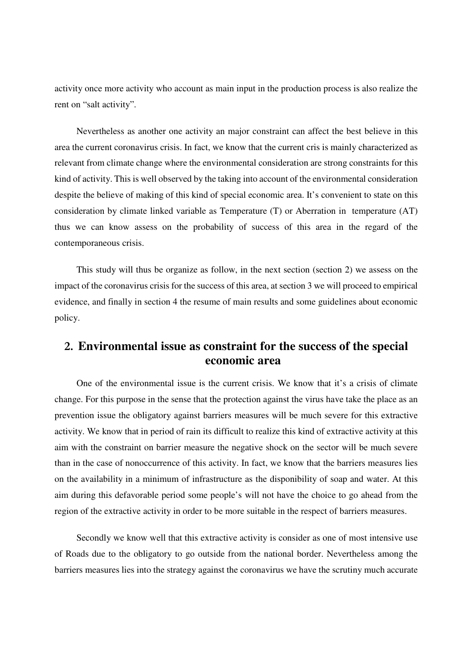activity once more activity who account as main input in the production process is also realize the rent on "salt activity".

Nevertheless as another one activity an major constraint can affect the best believe in this area the current coronavirus crisis. In fact, we know that the current cris is mainly characterized as relevant from climate change where the environmental consideration are strong constraints for this kind of activity. This is well observed by the taking into account of the environmental consideration despite the believe of making of this kind of special economic area. It's convenient to state on this consideration by climate linked variable as Temperature (T) or Aberration in temperature (AT) thus we can know assess on the probability of success of this area in the regard of the contemporaneous crisis.

This study will thus be organize as follow, in the next section (section 2) we assess on the impact of the coronavirus crisis for the success of this area, at section 3 we will proceed to empirical evidence, and finally in section 4 the resume of main results and some guidelines about economic policy.

## **2. Environmental issue as constraint for the success of the special economic area**

One of the environmental issue is the current crisis. We know that it's a crisis of climate change. For this purpose in the sense that the protection against the virus have take the place as an prevention issue the obligatory against barriers measures will be much severe for this extractive activity. We know that in period of rain its difficult to realize this kind of extractive activity at this aim with the constraint on barrier measure the negative shock on the sector will be much severe than in the case of nonoccurrence of this activity. In fact, we know that the barriers measures lies on the availability in a minimum of infrastructure as the disponibility of soap and water. At this aim during this defavorable period some people's will not have the choice to go ahead from the region of the extractive activity in order to be more suitable in the respect of barriers measures.

Secondly we know well that this extractive activity is consider as one of most intensive use of Roads due to the obligatory to go outside from the national border. Nevertheless among the barriers measures lies into the strategy against the coronavirus we have the scrutiny much accurate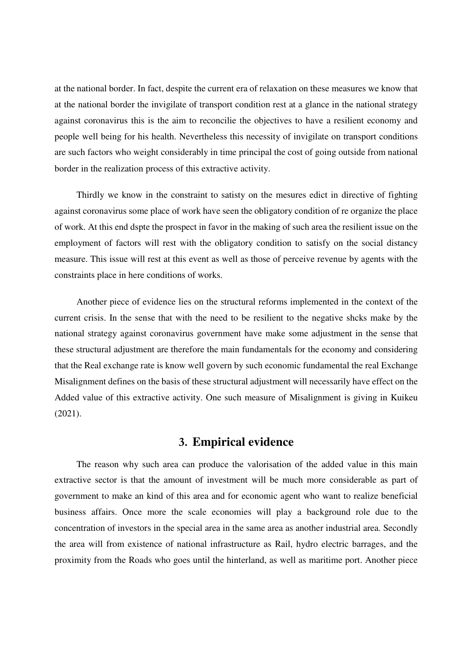at the national border. In fact, despite the current era of relaxation on these measures we know that at the national border the invigilate of transport condition rest at a glance in the national strategy against coronavirus this is the aim to reconcilie the objectives to have a resilient economy and people well being for his health. Nevertheless this necessity of invigilate on transport conditions are such factors who weight considerably in time principal the cost of going outside from national border in the realization process of this extractive activity.

Thirdly we know in the constraint to satisty on the mesures edict in directive of fighting against coronavirus some place of work have seen the obligatory condition of re organize the place of work. At this end dspte the prospect in favor in the making of such area the resilient issue on the employment of factors will rest with the obligatory condition to satisfy on the social distancy measure. This issue will rest at this event as well as those of perceive revenue by agents with the constraints place in here conditions of works.

Another piece of evidence lies on the structural reforms implemented in the context of the current crisis. In the sense that with the need to be resilient to the negative shcks make by the national strategy against coronavirus government have make some adjustment in the sense that these structural adjustment are therefore the main fundamentals for the economy and considering that the Real exchange rate is know well govern by such economic fundamental the real Exchange Misalignment defines on the basis of these structural adjustment will necessarily have effect on the Added value of this extractive activity. One such measure of Misalignment is giving in Kuikeu (2021).

## **3. Empirical evidence**

The reason why such area can produce the valorisation of the added value in this main extractive sector is that the amount of investment will be much more considerable as part of government to make an kind of this area and for economic agent who want to realize beneficial business affairs. Once more the scale economies will play a background role due to the concentration of investors in the special area in the same area as another industrial area. Secondly the area will from existence of national infrastructure as Rail, hydro electric barrages, and the proximity from the Roads who goes until the hinterland, as well as maritime port. Another piece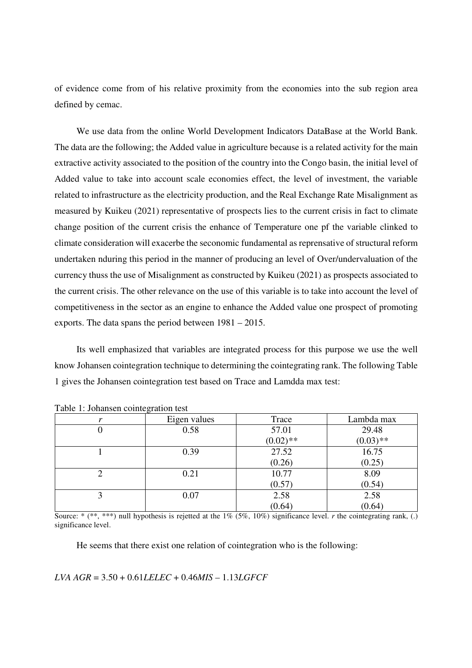of evidence come from of his relative proximity from the economies into the sub region area defined by cemac.

We use data from the online World Development Indicators DataBase at the World Bank. The data are the following; the Added value in agriculture because is a related activity for the main extractive activity associated to the position of the country into the Congo basin, the initial level of Added value to take into account scale economies effect, the level of investment, the variable related to infrastructure as the electricity production, and the Real Exchange Rate Misalignment as measured by Kuikeu (2021) representative of prospects lies to the current crisis in fact to climate change position of the current crisis the enhance of Temperature one pf the variable clinked to climate consideration will exacerbe the seconomic fundamental as reprensative of structural reform undertaken nduring this period in the manner of producing an level of Over/undervaluation of the currency thuss the use of Misalignment as constructed by Kuikeu (2021) as prospects associated to the current crisis. The other relevance on the use of this variable is to take into account the level of competitiveness in the sector as an engine to enhance the Added value one prospect of promoting exports. The data spans the period between 1981 – 2015.

Its well emphasized that variables are integrated process for this purpose we use the well know Johansen cointegration technique to determining the cointegrating rank. The following Table 1 gives the Johansen cointegration test based on Trace and Lamdda max test:

| $1.0010$ $1.001000$ $1.00000$ $1.0000$ $1.0000$ |              |             |             |
|-------------------------------------------------|--------------|-------------|-------------|
|                                                 | Eigen values | Trace       | Lambda max  |
|                                                 | 0.58         | 57.01       | 29.48       |
|                                                 |              | $(0.02)$ ** | $(0.03)$ ** |
|                                                 | 0.39         | 27.52       | 16.75       |
|                                                 |              | (0.26)      | (0.25)      |
|                                                 | 0.21         | 10.77       | 8.09        |
|                                                 |              | (0.57)      | (0.54)      |
|                                                 | 0.07         | 2.58        | 2.58        |
|                                                 |              | (0.64)      | (0.64)      |

Table 1: Johansen cointegration test

Source: \* (\*\*, \*\*\*) null hypothesis is rejetted at the  $1\%$  (5%,  $10\%$ ) significance level. *r* the cointegrating rank, (.) significance level.

He seems that there exist one relation of cointegration who is the following:

#### *LVA AGR* = 3.50 + 0.61*LELEC* + 0.46*MIS* – 1.13*LGFCF*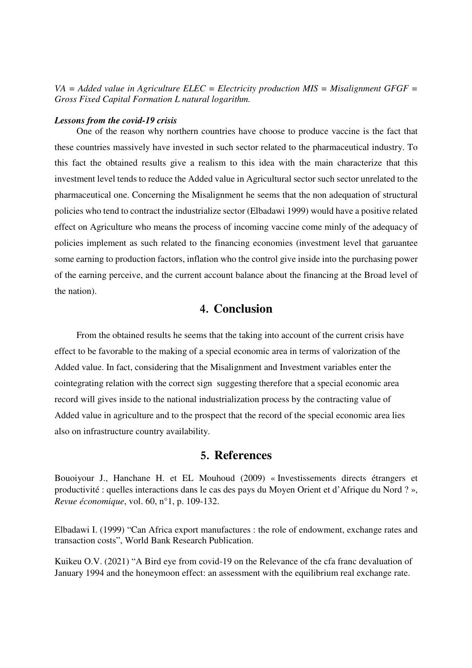*VA = Added value in Agriculture ELEC = Electricity production MIS = Misalignment GFGF = Gross Fixed Capital Formation L natural logarithm.*

#### *Lessons from the covid-19 crisis*

One of the reason why northern countries have choose to produce vaccine is the fact that these countries massively have invested in such sector related to the pharmaceutical industry. To this fact the obtained results give a realism to this idea with the main characterize that this investment level tends to reduce the Added value in Agricultural sector such sector unrelated to the pharmaceutical one. Concerning the Misalignment he seems that the non adequation of structural policies who tend to contract the industrialize sector (Elbadawi 1999) would have a positive related effect on Agriculture who means the process of incoming vaccine come minly of the adequacy of policies implement as such related to the financing economies (investment level that garuantee some earning to production factors, inflation who the control give inside into the purchasing power of the earning perceive, and the current account balance about the financing at the Broad level of the nation).

## **4. Conclusion**

From the obtained results he seems that the taking into account of the current crisis have effect to be favorable to the making of a special economic area in terms of valorization of the Added value. In fact, considering that the Misalignment and Investment variables enter the cointegrating relation with the correct sign suggesting therefore that a special economic area record will gives inside to the national industrialization process by the contracting value of Added value in agriculture and to the prospect that the record of the special economic area lies also on infrastructure country availability.

#### **5. References**

Bouoiyour J., Hanchane H. et EL Mouhoud (2009) « Investissements directs étrangers et productivité : quelles interactions dans le cas des pays du Moyen Orient et d'Afrique du Nord ? », *Revue économique*, vol. 60, n°1, p. 109-132.

Elbadawi I. (1999) "Can Africa export manufactures : the role of endowment, exchange rates and transaction costs", World Bank Research Publication.

Kuikeu O.V. (2021) "A Bird eye from covid-19 on the Relevance of the cfa franc devaluation of January 1994 and the honeymoon effect: an assessment with the equilibrium real exchange rate.